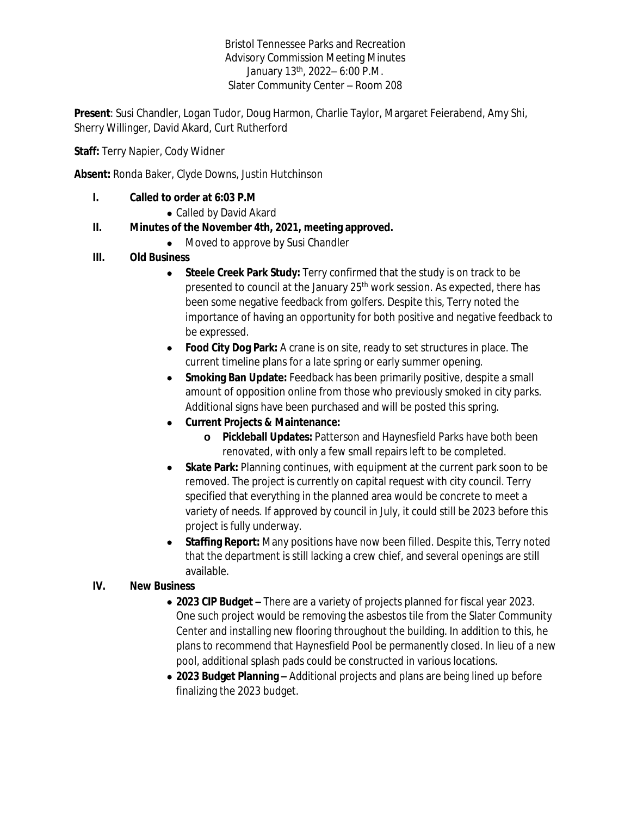Bristol Tennessee Parks and Recreation Advisory Commission Meeting Minutes January 13th, 2022– 6:00 P.M. Slater Community Center – Room 208

**Present**: Susi Chandler, Logan Tudor, Doug Harmon, Charlie Taylor, Margaret Feierabend, Amy Shi, Sherry Willinger, David Akard, Curt Rutherford

**Staff:** Terry Napier, Cody Widner

**Absent:** Ronda Baker, Clyde Downs, Justin Hutchinson

#### **I. Called to order at 6:03 P.M**

Called by David Akard

## **II. Minutes of the November 4th, 2021, meeting approved.**

• Moved to approve by Susi Chandler

## **III. Old Business**

- **Steele Creek Park Study:** Terry confirmed that the study is on track to be presented to council at the January 25<sup>th</sup> work session. As expected, there has been some negative feedback from golfers. Despite this, Terry noted the importance of having an opportunity for both positive and negative feedback to be expressed.
- **Food City Dog Park:** A crane is on site, ready to set structures in place. The current timeline plans for a late spring or early summer opening.
- **Smoking Ban Update:** Feedback has been primarily positive, despite a small amount of opposition online from those who previously smoked in city parks. Additional signs have been purchased and will be posted this spring.
- **Current Projects & Maintenance:**
	- **o Pickleball Updates:** Patterson and Haynesfield Parks have both been renovated, with only a few small repairs left to be completed.
- **Skate Park:** Planning continues, with equipment at the current park soon to be removed. The project is currently on capital request with city council. Terry specified that everything in the planned area would be concrete to meet a variety of needs. If approved by council in July, it could still be 2023 before this project is fully underway.
- **Staffing Report:** Many positions have now been filled. Despite this, Terry noted that the department is still lacking a crew chief, and several openings are still available.

#### **IV. New Business**

- **2023 CIP Budget –** There are a variety of projects planned for fiscal year 2023. One such project would be removing the asbestos tile from the Slater Community Center and installing new flooring throughout the building. In addition to this, he plans to recommend that Haynesfield Pool be permanently closed. In lieu of a new pool, additional splash pads could be constructed in various locations.
- **2023 Budget Planning –** Additional projects and plans are being lined up before finalizing the 2023 budget.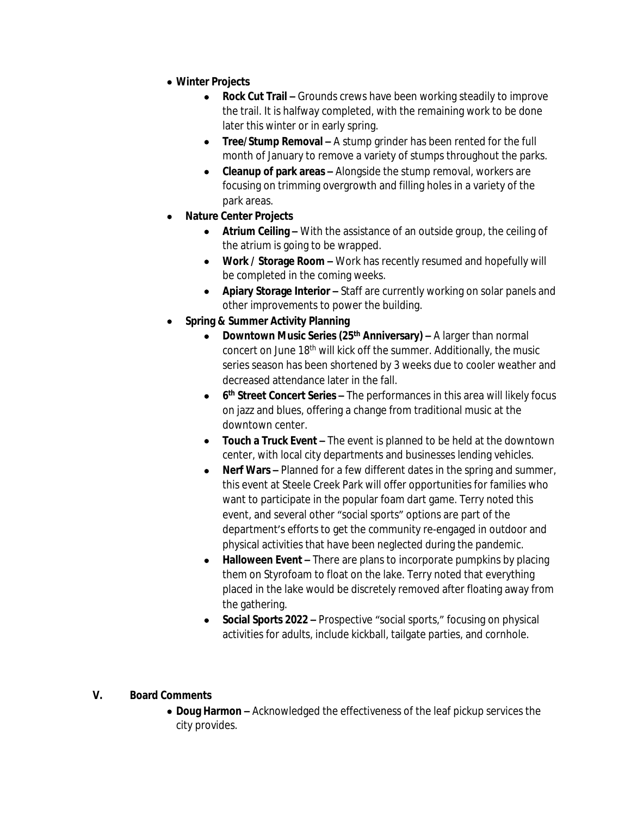- **Winter Projects**
	- **Rock Cut Trail –** Grounds crews have been working steadily to improve the trail. It is halfway completed, with the remaining work to be done later this winter or in early spring.
	- **Tree/Stump Removal –** A stump grinder has been rented for the full month of January to remove a variety of stumps throughout the parks.
	- **Cleanup of park areas –** Alongside the stump removal, workers are focusing on trimming overgrowth and filling holes in a variety of the park areas.
- **Nature Center Projects**
	- **Atrium Ceiling –** With the assistance of an outside group, the ceiling of the atrium is going to be wrapped.
	- **Work / Storage Room -** Work has recently resumed and hopefully will be completed in the coming weeks.
	- **Apiary Storage Interior** Staff are currently working on solar panels and other improvements to power the building.
- **Spring & Summer Activity Planning**
	- **Downtown Music Series (25th Anniversary) –** A larger than normal concert on June 18<sup>th</sup> will kick off the summer. Additionally, the music series season has been shortened by 3 weeks due to cooler weather and decreased attendance later in the fall.
	- **6<sup>th</sup> Street Concert Series –** The performances in this area will likely focus on jazz and blues, offering a change from traditional music at the downtown center.
	- **Touch a Truck Event –** The event is planned to be held at the downtown center, with local city departments and businesses lending vehicles.
	- **Nerf Wars –** Planned for a few different dates in the spring and summer, this event at Steele Creek Park will offer opportunities for families who want to participate in the popular foam dart game. Terry noted this event, and several other "social sports" options are part of the department's efforts to get the community re-engaged in outdoor and physical activities that have been neglected during the pandemic.
	- **Halloween Event –** There are plans to incorporate pumpkins by placing them on Styrofoam to float on the lake. Terry noted that everything placed in the lake would be discretely removed after floating away from the gathering.
	- **Social Sports 2022 –** Prospective "social sports," focusing on physical activities for adults, include kickball, tailgate parties, and cornhole.

# **V. Board Comments**

 **Doug Harmon –** Acknowledged the effectiveness of the leaf pickup services the city provides.